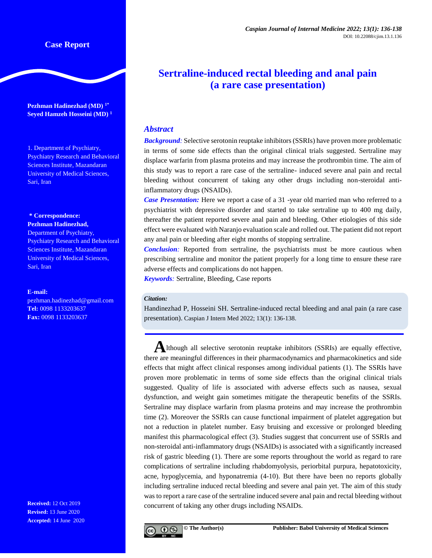# **Case Report**

**Pezhman Hadinezhad (MD) 1\* Seyed Hamzeh Hosseini (MD) <sup>1</sup>**

1. Department of Psychiatry, Psychiatry Research and Behavioral Sciences Institute, Mazandaran University of Medical Sciences, Sari, Iran

**\* Correspondence: Pezhman Hadinezhad,**

Department of Psychiatry, Psychiatry Research and Behavioral Sciences Institute, Mazandaran University of Medical Sciences, Sari, Iran

#### **E-mail:**

[pezhman.hadinezhad@gmail.com](mailto:pezhman.hadinezhad@gmail.com) **Tel:** 0098 1133203637 **Fax:** 0098 1133203637

**Received:** 12 Oct 2019 **Revised:** 13 June 2020 **Accepted:** 14 June 2020

# **Sertraline-induced rectal bleeding and anal pain (a rare case presentation)**

## *Abstract*

*Background:* Selective serotonin reuptake inhibitors (SSRIs) have proven more problematic in terms of some side effects than the original clinical trials suggested. Sertraline may displace warfarin from plasma proteins and may increase the prothrombin time. The aim of this study was to report a rare case of the sertraline- induced severe anal pain and rectal bleeding without concurrent of taking any other drugs including non-steroidal antiinflammatory drugs (NSAIDs).

*Case Presentation:* Here we report a case of a 31 -year old married man who referred to a psychiatrist with depressive disorder and started to take sertraline up to 400 mg daily, thereafter the patient reported severe anal pain and bleeding. Other etiologies of this side effect were evaluated with Naranjo evaluation scale and rolled out. The patient did not report any anal pain or bleeding after eight months of stopping sertraline.

*Conclusion:* Reported from sertraline, the psychiatrists must be more cautious when prescribing sertraline and monitor the patient properly for a long time to ensure these rare adverse effects and complications do not happen.

*Keywords:* Sertraline, Bleeding, Case reports

#### *Citation:*

Handinezhad P, Hosseini SH. Sertraline-induced rectal bleeding and anal pain (a rare case presentation). Caspian J Intern Med 2022; 13(1): 136-138.

**A**lthough all selective serotonin reuptake inhibitors (SSRIs) are equally effective, there are meaningful differences in their pharmacodynamics and pharmacokinetics and side effects that might affect clinical responses among individual patients (1). The SSRIs have proven more problematic in terms of some side effects than the original clinical trials suggested. Quality of life is associated with adverse effects such as nausea, sexual dysfunction, and weight gain sometimes mitigate the therapeutic benefits of the SSRIs. Sertraline may displace warfarin from plasma proteins and may increase the prothrombin time (2). Moreover the SSRIs can cause functional impairment of platelet aggregation but not a reduction in platelet number. Easy bruising and excessive or prolonged bleeding manifest this pharmacological effect (3). Studies suggest that concurrent use of SSRIs and non-steroidal anti-inflammatory drugs (NSAIDs) is associated with a significantly increased risk of gastric bleeding (1). There are some reports throughout the world as regard to rare complications of sertraline including rhabdomyolysis, periorbital purpura, hepatotoxicity, acne, hypoglycemia, and hyponatremia (4-10). But there have been no reports globally including sertraline induced rectal bleeding and severe anal pain yet. The aim of this study was to report a rare case of the sertraline induced severe anal pain and rectal bleeding without concurrent of taking any other drugs including NSAIDs.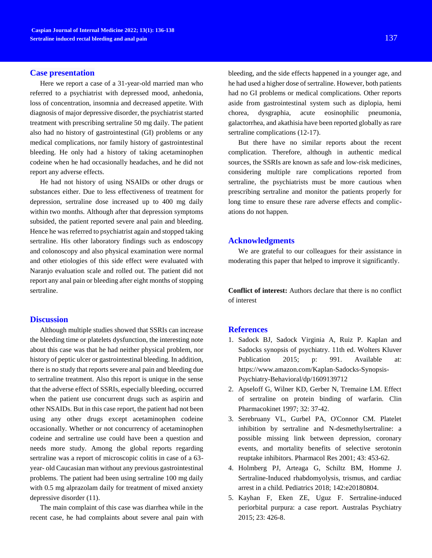### **Case presentation**

Here we report a case of a 31-year-old married man who referred to a psychiatrist with depressed mood, anhedonia, loss of concentration, insomnia and decreased appetite. With diagnosis of major depressive disorder, the psychiatrist started treatment with prescribing sertraline 50 mg daily. The patient also had no history of gastrointestinal (GI) problems or any medical complications, nor family history of gastrointestinal bleeding. He only had a history of taking acetaminophen codeine when he had occasionally headaches, and he did not report any adverse effects.

He had not history of using NSAIDs or other drugs or substances either. Due to less effectiveness of treatment for depression, sertraline dose increased up to 400 mg daily within two months. Although after that depression symptoms subsided, the patient reported severe anal pain and bleeding. Hence he was referred to psychiatrist again and stopped taking sertraline. His other laboratory findings such as endoscopy and colonoscopy and also physical examination were normal and other etiologies of this side effect were evaluated with Naranjo evaluation scale and rolled out. The patient did not report any anal pain or bleeding after eight months of stopping sertraline.

# **Discussion**

Although multiple studies showed that SSRIs can increase the bleeding time or platelets dysfunction, the interesting note about this case was that he had neither physical problem, nor history of peptic ulcer or gastrointestinal bleeding. In addition, there is no study that reports severe anal pain and bleeding due to sertraline treatment. Also this report is unique in the sense that the adverse effect of SSRIs, especially bleeding, occurred when the patient use concurrent drugs such as aspirin and other NSAIDs. But in this case report, the patient had not been using any other drugs except acetaminophen codeine occasionally. Whether or not concurrency of acetaminophen codeine and sertraline use could have been a question and needs more study. Among the global reports regarding sertraline was a report of microscopic colitis in case of a 63 year- old Caucasian man without any previous gastrointestinal problems. The patient had been using sertraline 100 mg daily with 0.5 mg alprazolam daily for treatment of mixed anxiety depressive disorder (11).

The main complaint of this case was diarrhea while in the recent case, he had complaints about severe anal pain with

bleeding, and the side effects happened in a younger age, and he had used a higher dose of sertraline. However, both patients had no GI problems or medical complications. Other reports aside from gastrointestinal system such as diplopia, hemi chorea, dysgraphia, acute eosinophilic pneumonia, galactorrhea, and akathisia have been reported globally as rare sertraline complications (12-17).

But there have no similar reports about the recent complication. Therefore, although in authentic medical sources, the SSRIs are known as safe and low-risk medicines, considering multiple rare complications reported from sertraline, the psychiatrists must be more cautious when prescribing sertraline and monitor the patients properly for long time to ensure these rare adverse effects and complications do not happen.

### **Acknowledgments**

We are grateful to our colleagues for their assistance in moderating this paper that helped to improve it significantly.

**Conflict of interest:** Authors declare that there is no conflict of interest

### **References**

- 1. Sadock BJ, Sadock Virginia A, Ruiz P. Kaplan and Sadocks synopsis of psychiatry. 11th ed. Wolters Kluver Publication 2015; p: 991. Available at: https://www.amazon.com/Kaplan-Sadocks-Synopsis-Psychiatry-Behavioral/dp/1609139712
- 2. Apseloff G, Wilner KD, Gerber N, Tremaine LM. Effect of sertraline on protein binding of warfarin. Clin Pharmacokinet 1997; 32: 37-42.
- 3. Serebruany VL, Gurbel PA, O'Connor CM. Platelet inhibition by sertraline and N-desmethylsertraline: a possible missing link between depression, coronary events, and mortality benefits of selective serotonin reuptake inhibitors. Pharmacol Res 2001; 43: 453-62.
- 4. Holmberg PJ, Arteaga G, Schiltz BM, Homme J. Sertraline-Induced rhabdomyolysis, trismus, and cardiac arrest in a child. Pediatrics 2018; 142:e20180804.
- 5. Kayhan F, Eken ZE, Uguz F. Sertraline-induced periorbital purpura: a case report. Australas Psychiatry 2015; 23: 426-8.